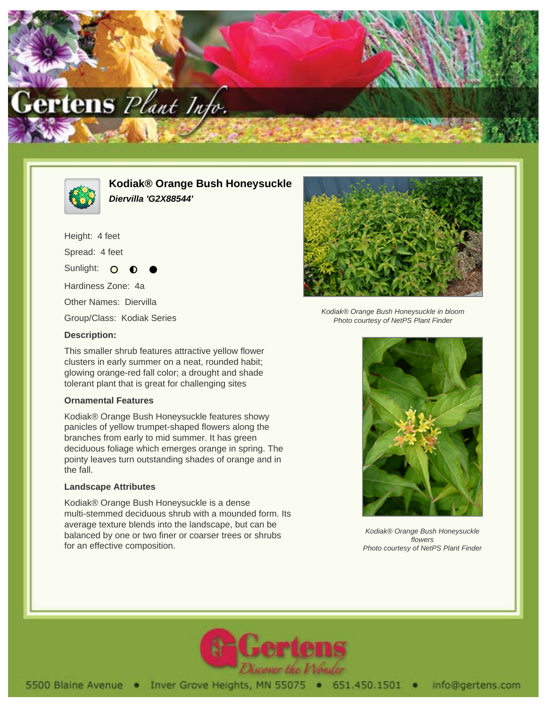



**Kodiak® Orange Bush Honeysuckle Diervilla 'G2X88544'**

Height: 4 feet Spread: 4 feet

Sunlight: O

Hardiness Zone: 4a

Other Names: Diervilla

Group/Class: Kodiak Series

## **Description:**

This smaller shrub features attractive yellow flower clusters in early summer on a neat, rounded habit; glowing orange-red fall color; a drought and shade tolerant plant that is great for challenging sites

## **Ornamental Features**

Kodiak® Orange Bush Honeysuckle features showy panicles of yellow trumpet-shaped flowers along the branches from early to mid summer. It has green deciduous foliage which emerges orange in spring. The pointy leaves turn outstanding shades of orange and in the fall.

## **Landscape Attributes**

Kodiak® Orange Bush Honeysuckle is a dense multi-stemmed deciduous shrub with a mounded form. Its average texture blends into the landscape, but can be balanced by one or two finer or coarser trees or shrubs for an effective composition.



Kodiak® Orange Bush Honeysuckle in bloom Photo courtesy of NetPS Plant Finder



Kodiak® Orange Bush Honeysuckle flowers Photo courtesy of NetPS Plant Finder